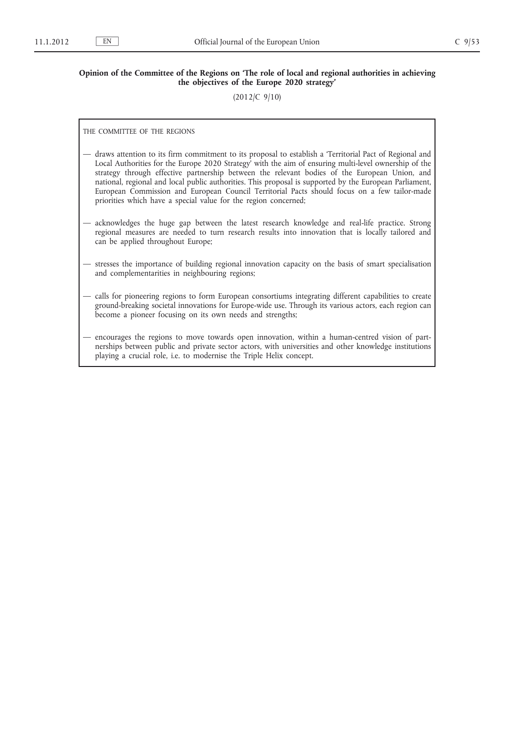## **Opinion of the Committee of the Regions on 'The role of local and regional authorities in achieving the objectives of the Europe 2020 strategy'**

(2012/C 9/10)

THE COMMITTEE OF THE REGIONS

- draws attention to its firm commitment to its proposal to establish a 'Territorial Pact of Regional and Local Authorities for the Europe 2020 Strategy' with the aim of ensuring multi-level ownership of the strategy through effective partnership between the relevant bodies of the European Union, and national, regional and local public authorities. This proposal is supported by the European Parliament, European Commission and European Council Territorial Pacts should focus on a few tailor-made priorities which have a special value for the region concerned;
- acknowledges the huge gap between the latest research knowledge and real-life practice. Strong regional measures are needed to turn research results into innovation that is locally tailored and can be applied throughout Europe;
- stresses the importance of building regional innovation capacity on the basis of smart specialisation and complementarities in neighbouring regions;
- calls for pioneering regions to form European consortiums integrating different capabilities to create ground-breaking societal innovations for Europe-wide use. Through its various actors, each region can become a pioneer focusing on its own needs and strengths;
- encourages the regions to move towards open innovation, within a human-centred vision of partnerships between public and private sector actors, with universities and other knowledge institutions playing a crucial role, i.e. to modernise the Triple Helix concept.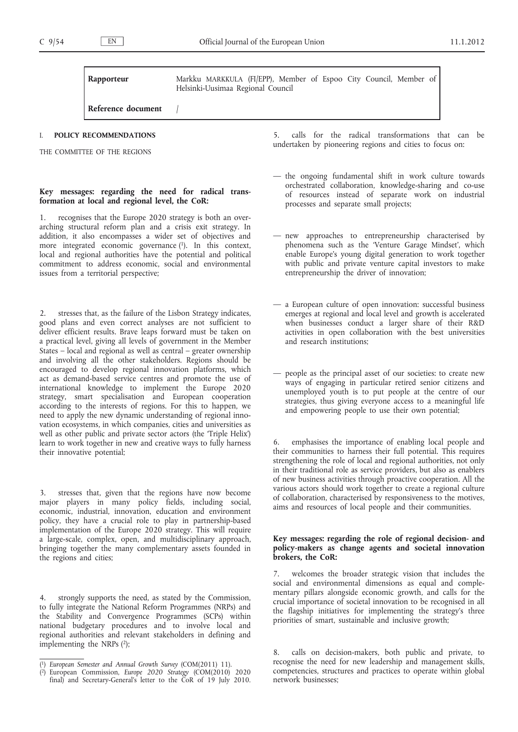**Rapporteur** Markku MARKKULA (FI/EPP), Member of Espoo City Council, Member of Helsinki-Uusimaa Regional Council

**Reference document** 

#### I. **POLICY RECOMMENDATIONS**

THE COMMITTEE OF THE REGIONS

## **Key messages: regarding the need for radical transformation at local and regional level, the CoR:**

1. recognises that the Europe 2020 strategy is both an overarching structural reform plan and a crisis exit strategy. In addition, it also encompasses a wider set of objectives and more integrated economic governance  $(1)$ . In this context, local and regional authorities have the potential and political commitment to address economic, social and environmental issues from a territorial perspective;

2. stresses that, as the failure of the Lisbon Strategy indicates, good plans and even correct analyses are not sufficient to deliver efficient results. Brave leaps forward must be taken on a practical level, giving all levels of government in the Member States – local and regional as well as central – greater ownership and involving all the other stakeholders. Regions should be encouraged to develop regional innovation platforms, which act as demand-based service centres and promote the use of international knowledge to implement the Europe 2020 strategy, smart specialisation and European cooperation according to the interests of regions. For this to happen, we need to apply the new dynamic understanding of regional innovation ecosystems, in which companies, cities and universities as well as other public and private sector actors (the 'Triple Helix') learn to work together in new and creative ways to fully harness their innovative potential;

3. stresses that, given that the regions have now become major players in many policy fields, including social, economic, industrial, innovation, education and environment policy, they have a crucial role to play in partnership-based implementation of the Europe 2020 strategy. This will require a large-scale, complex, open, and multidisciplinary approach, bringing together the many complementary assets founded in the regions and cities;

4. strongly supports the need, as stated by the Commission, to fully integrate the National Reform Programmes (NRPs) and the Stability and Convergence Programmes (SCPs) within national budgetary procedures and to involve local and regional authorities and relevant stakeholders in defining and implementing the NRPs (2);

5. calls for the radical transformations that can be undertaken by pioneering regions and cities to focus on:

- the ongoing fundamental shift in work culture towards orchestrated collaboration, knowledge-sharing and co-use of resources instead of separate work on industrial processes and separate small projects;
- new approaches to entrepreneurship characterised by phenomena such as the 'Venture Garage Mindset', which enable Europe's young digital generation to work together with public and private venture capital investors to make entrepreneurship the driver of innovation;
- a European culture of open innovation: successful business emerges at regional and local level and growth is accelerated when businesses conduct a larger share of their R&D activities in open collaboration with the best universities and research institutions;
- people as the principal asset of our societies: to create new ways of engaging in particular retired senior citizens and unemployed youth is to put people at the centre of our strategies, thus giving everyone access to a meaningful life and empowering people to use their own potential;

6. emphasises the importance of enabling local people and their communities to harness their full potential. This requires strengthening the role of local and regional authorities, not only in their traditional role as service providers, but also as enablers of new business activities through proactive cooperation. All the various actors should work together to create a regional culture of collaboration, characterised by responsiveness to the motives, aims and resources of local people and their communities.

#### **Key messages: regarding the role of regional decision- and policy-makers as change agents and societal innovation brokers, the CoR:**

7. welcomes the broader strategic vision that includes the social and environmental dimensions as equal and complementary pillars alongside economic growth, and calls for the crucial importance of societal innovation to be recognised in all the flagship initiatives for implementing the strategy's three priorities of smart, sustainable and inclusive growth;

8. calls on decision-makers, both public and private, to recognise the need for new leadership and management skills, competencies, structures and practices to operate within global network businesses;

<sup>(</sup> 1) *European Semester and Annual Growth Survey* (COM(2011) 11).

<sup>(</sup> 2) European Commission, *Europe 2020 Strategy* (COM(2010) 2020 final) and Secretary-General's letter to the CoR of 19 July 2010.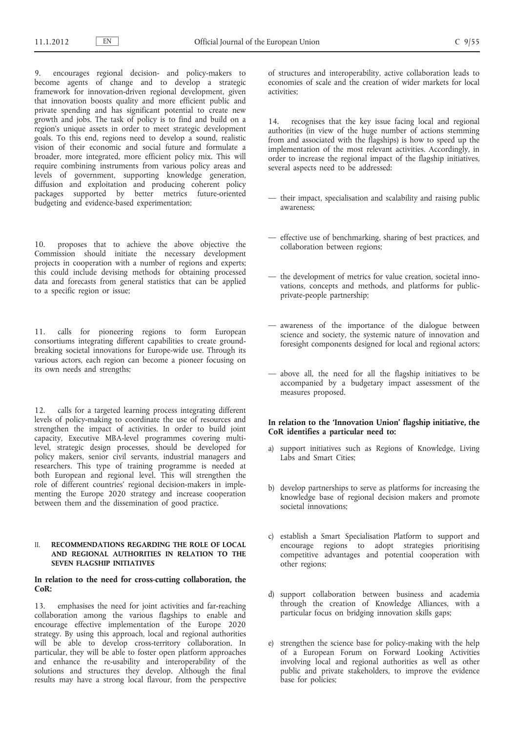9. encourages regional decision- and policy-makers to become agents of change and to develop a strategic framework for innovation-driven regional development, given that innovation boosts quality and more efficient public and private spending and has significant potential to create new growth and jobs. The task of policy is to find and build on a region's unique assets in order to meet strategic development goals. To this end, regions need to develop a sound, realistic vision of their economic and social future and formulate a broader, more integrated, more efficient policy mix. This will require combining instruments from various policy areas and levels of government, supporting knowledge generation, diffusion and exploitation and producing coherent policy packages supported by better metrics future-oriented budgeting and evidence-based experimentation;

10. proposes that to achieve the above objective the Commission should initiate the necessary development projects in cooperation with a number of regions and experts; this could include devising methods for obtaining processed data and forecasts from general statistics that can be applied to a specific region or issue;

11. calls for pioneering regions to form European consortiums integrating different capabilities to create groundbreaking societal innovations for Europe-wide use. Through its various actors, each region can become a pioneer focusing on its own needs and strengths;

12. calls for a targeted learning process integrating different levels of policy-making to coordinate the use of resources and strengthen the impact of activities. In order to build joint capacity, Executive MBA-level programmes covering multilevel, strategic design processes, should be developed for policy makers, senior civil servants, industrial managers and researchers. This type of training programme is needed at both European and regional level. This will strengthen the role of different countries' regional decision-makers in implementing the Europe 2020 strategy and increase cooperation between them and the dissemination of good practice.

#### II. **RECOMMENDATIONS REGARDING THE ROLE OF LOCAL AND REGIONAL AUTHORITIES IN RELATION TO THE SEVEN FLAGSHIP INITIATIVES**

### **In relation to the need for cross-cutting collaboration, the CoR:**

13. emphasises the need for joint activities and far-reaching collaboration among the various flagships to enable and encourage effective implementation of the Europe 2020 strategy. By using this approach, local and regional authorities will be able to develop cross-territory collaboration. In particular, they will be able to foster open platform approaches and enhance the re-usability and interoperability of the solutions and structures they develop. Although the final results may have a strong local flavour, from the perspective of structures and interoperability, active collaboration leads to economies of scale and the creation of wider markets for local activities;

14. recognises that the key issue facing local and regional authorities (in view of the huge number of actions stemming from and associated with the flagships) is how to speed up the implementation of the most relevant activities. Accordingly, in order to increase the regional impact of the flagship initiatives, several aspects need to be addressed:

- their impact, specialisation and scalability and raising public awareness;
- effective use of benchmarking, sharing of best practices, and collaboration between regions;
- the development of metrics for value creation, societal innovations, concepts and methods, and platforms for publicprivate-people partnership;
- awareness of the importance of the dialogue between science and society, the systemic nature of innovation and foresight components designed for local and regional actors;
- above all, the need for all the flagship initiatives to be accompanied by a budgetary impact assessment of the measures proposed.

## **In relation to the 'Innovation Union' flagship initiative, the CoR identifies a particular need to:**

- a) support initiatives such as Regions of Knowledge, Living Labs and Smart Cities:
- b) develop partnerships to serve as platforms for increasing the knowledge base of regional decision makers and promote societal innovations;
- c) establish a Smart Specialisation Platform to support and encourage regions to adopt strategies prioritising competitive advantages and potential cooperation with other regions;
- d) support collaboration between business and academia through the creation of Knowledge Alliances, with a particular focus on bridging innovation skills gaps;
- e) strengthen the science base for policy-making with the help of a European Forum on Forward Looking Activities involving local and regional authorities as well as other public and private stakeholders, to improve the evidence base for policies;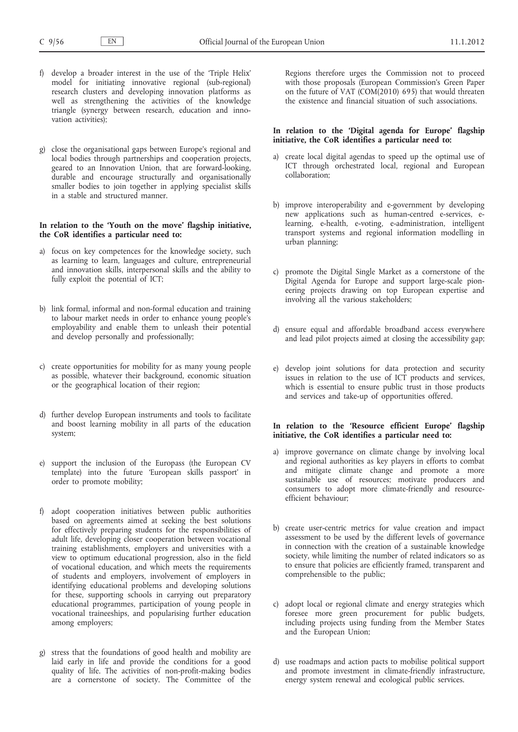- f) develop a broader interest in the use of the 'Triple Helix' model for initiating innovative regional (sub-regional) research clusters and developing innovation platforms as well as strengthening the activities of the knowledge triangle (synergy between research, education and innovation activities);
- g) close the organisational gaps between Europe's regional and local bodies through partnerships and cooperation projects, geared to an Innovation Union, that are forward-looking, durable and encourage structurally and organisationally smaller bodies to join together in applying specialist skills in a stable and structured manner.

## **In relation to the 'Youth on the move' flagship initiative, the CoR identifies a particular need to:**

- a) focus on key competences for the knowledge society, such as learning to learn, languages and culture, entrepreneurial and innovation skills, interpersonal skills and the ability to fully exploit the potential of ICT;
- b) link formal, informal and non-formal education and training to labour market needs in order to enhance young people's employability and enable them to unleash their potential and develop personally and professionally;
- c) create opportunities for mobility for as many young people as possible, whatever their background, economic situation or the geographical location of their region;
- d) further develop European instruments and tools to facilitate and boost learning mobility in all parts of the education system;
- e) support the inclusion of the Europass (the European CV template) into the future 'European skills passport' in order to promote mobility;
- f) adopt cooperation initiatives between public authorities based on agreements aimed at seeking the best solutions for effectively preparing students for the responsibilities of adult life, developing closer cooperation between vocational training establishments, employers and universities with a view to optimum educational progression, also in the field of vocational education, and which meets the requirements of students and employers, involvement of employers in identifying educational problems and developing solutions for these, supporting schools in carrying out preparatory educational programmes, participation of young people in vocational traineeships, and popularising further education among employers;
- stress that the foundations of good health and mobility are laid early in life and provide the conditions for a good quality of life. The activities of non-profit-making bodies are a cornerstone of society. The Committee of the

Regions therefore urges the Commission not to proceed with those proposals (European Commission's Green Paper on the future of VAT (COM(2010) 695) that would threaten the existence and financial situation of such associations.

#### **In relation to the 'Digital agenda for Europe' flagship initiative, the CoR identifies a particular need to:**

- a) create local digital agendas to speed up the optimal use of ICT through orchestrated local, regional and European collaboration;
- b) improve interoperability and e-government by developing new applications such as human-centred e-services, elearning, e-health, e-voting, e-administration, intelligent transport systems and regional information modelling in urban planning;
- c) promote the Digital Single Market as a cornerstone of the Digital Agenda for Europe and support large-scale pioneering projects drawing on top European expertise and involving all the various stakeholders;
- d) ensure equal and affordable broadband access everywhere and lead pilot projects aimed at closing the accessibility gap;
- e) develop joint solutions for data protection and security issues in relation to the use of ICT products and services, which is essential to ensure public trust in those products and services and take-up of opportunities offered.

## **In relation to the 'Resource efficient Europe' flagship initiative, the CoR identifies a particular need to:**

- a) improve governance on climate change by involving local and regional authorities as key players in efforts to combat and mitigate climate change and promote a more sustainable use of resources; motivate producers and consumers to adopt more climate-friendly and resourceefficient behaviour;
- b) create user-centric metrics for value creation and impact assessment to be used by the different levels of governance in connection with the creation of a sustainable knowledge society, while limiting the number of related indicators so as to ensure that policies are efficiently framed, transparent and comprehensible to the public;
- c) adopt local or regional climate and energy strategies which foresee more green procurement for public budgets, including projects using funding from the Member States and the European Union;
- d) use roadmaps and action pacts to mobilise political support and promote investment in climate-friendly infrastructure, energy system renewal and ecological public services.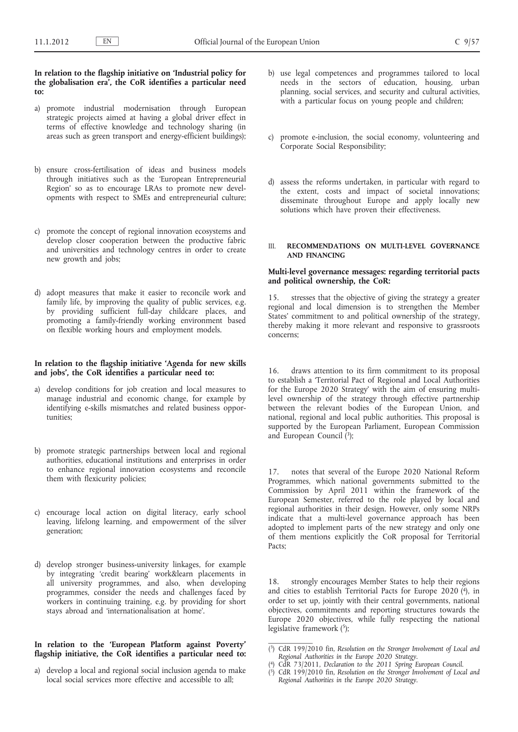### **In relation to the flagship initiative on 'Industrial policy for the globalisation era', the CoR identifies a particular need to:**

- a) promote industrial modernisation through European strategic projects aimed at having a global driver effect in terms of effective knowledge and technology sharing (in areas such as green transport and energy-efficient buildings);
- b) ensure cross-fertilisation of ideas and business models through initiatives such as the 'European Entrepreneurial Region' so as to encourage LRAs to promote new developments with respect to SMEs and entrepreneurial culture;
- c) promote the concept of regional innovation ecosystems and develop closer cooperation between the productive fabric and universities and technology centres in order to create new growth and jobs;
- d) adopt measures that make it easier to reconcile work and family life, by improving the quality of public services, e.g. by providing sufficient full-day childcare places, and promoting a family-friendly working environment based on flexible working hours and employment models.

## **In relation to the flagship initiative 'Agenda for new skills and jobs', the CoR identifies a particular need to:**

- a) develop conditions for job creation and local measures to manage industrial and economic change, for example by identifying e-skills mismatches and related business opportunities;
- b) promote strategic partnerships between local and regional authorities, educational institutions and enterprises in order to enhance regional innovation ecosystems and reconcile them with flexicurity policies;
- c) encourage local action on digital literacy, early school leaving, lifelong learning, and empowerment of the silver generation;
- d) develop stronger business-university linkages, for example by integrating 'credit bearing' work&learn placements in all university programmes, and also, when developing programmes, consider the needs and challenges faced by workers in continuing training, e.g. by providing for short stays abroad and 'internationalisation at home'.

# **In relation to the 'European Platform against Poverty' flagship initiative, the CoR identifies a particular need to:**

a) develop a local and regional social inclusion agenda to make local social services more effective and accessible to all;

- b) use legal competences and programmes tailored to local needs in the sectors of education, housing, urban planning, social services, and security and cultural activities, with a particular focus on young people and children;
- c) promote e-inclusion, the social economy, volunteering and Corporate Social Responsibility;
- d) assess the reforms undertaken, in particular with regard to the extent, costs and impact of societal innovations; disseminate throughout Europe and apply locally new solutions which have proven their effectiveness.

# III. **RECOMMENDATIONS ON MULTI-LEVEL GOVERNANCE AND FINANCING**

### **Multi-level governance messages: regarding territorial pacts and political ownership, the CoR:**

15. stresses that the objective of giving the strategy a greater regional and local dimension is to strengthen the Member States' commitment to and political ownership of the strategy, thereby making it more relevant and responsive to grassroots concerns;

16. draws attention to its firm commitment to its proposal to establish a 'Territorial Pact of Regional and Local Authorities for the Europe 2020 Strategy' with the aim of ensuring multilevel ownership of the strategy through effective partnership between the relevant bodies of the European Union, and national, regional and local public authorities. This proposal is supported by the European Parliament, European Commission and European Council  $(3)$ ;

17. notes that several of the Europe 2020 National Reform Programmes, which national governments submitted to the Commission by April 2011 within the framework of the European Semester, referred to the role played by local and regional authorities in their design. However, only some NRPs indicate that a multi-level governance approach has been adopted to implement parts of the new strategy and only one of them mentions explicitly the CoR proposal for Territorial Pacts;

18. strongly encourages Member States to help their regions and cities to establish Territorial Pacts for Europe 2020  $(4)$ , in order to set up, jointly with their central governments, national objectives, commitments and reporting structures towards the Europe 2020 objectives, while fully respecting the national legislative framework (5);

<sup>(</sup> 3) CdR 199/2010 fin, *Resolution on the Stronger Involvement of Local and Regional Authorities in the Europe 2020 Strategy*. (

<sup>4)</sup> CdR 73/2011, *Declaration to the 2011 Spring European Council*.

<sup>(</sup> 5) CdR 199/2010 fin, *Resolution on the Stronger Involvement of Local and Regional Authorities in the Europe 2020 Strategy*.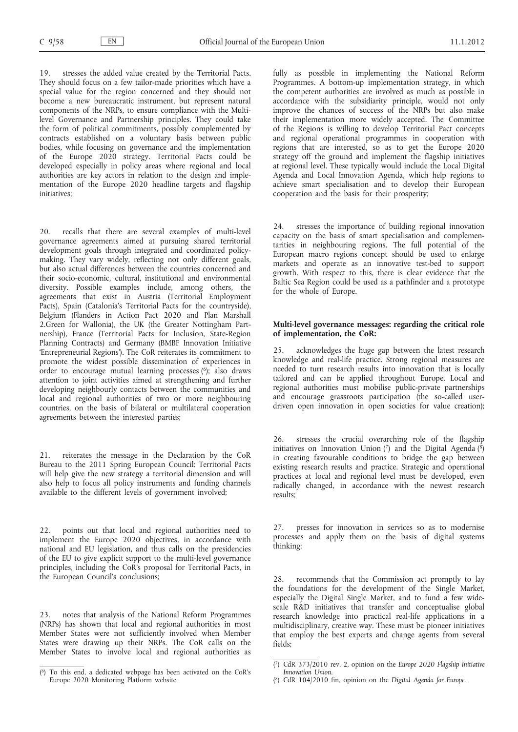19. stresses the added value created by the Territorial Pacts. They should focus on a few tailor-made priorities which have a special value for the region concerned and they should not become a new bureaucratic instrument, but represent natural components of the NRPs, to ensure compliance with the Multilevel Governance and Partnership principles. They could take the form of political commitments, possibly complemented by contracts established on a voluntary basis between public bodies, while focusing on governance and the implementation of the Europe 2020 strategy. Territorial Pacts could be developed especially in policy areas where regional and local authorities are key actors in relation to the design and implementation of the Europe 2020 headline targets and flagship initiatives;

20. recalls that there are several examples of multi-level governance agreements aimed at pursuing shared territorial development goals through integrated and coordinated policymaking. They vary widely, reflecting not only different goals, but also actual differences between the countries concerned and their socio-economic, cultural, institutional and environmental diversity. Possible examples include, among others, the agreements that exist in Austria (Territorial Employment Pacts), Spain (Catalonia's Territorial Pacts for the countryside), Belgium (Flanders in Action Pact 2020 and Plan Marshall 2.Green for Wallonia), the UK (the Greater Nottingham Partnership), France (Territorial Pacts for Inclusion, State-Region Planning Contracts) and Germany (BMBF Innovation Initiative 'Entrepreneurial Regions'). The CoR reiterates its commitment to promote the widest possible dissemination of experiences in order to encourage mutual learning processes  $(6)$ ; also draws attention to joint activities aimed at strengthening and further developing neighbourly contacts between the communities and local and regional authorities of two or more neighbouring countries, on the basis of bilateral or multilateral cooperation agreements between the interested parties;

21. reiterates the message in the Declaration by the CoR Bureau to the 2011 Spring European Council: Territorial Pacts will help give the new strategy a territorial dimension and will also help to focus all policy instruments and funding channels available to the different levels of government involved;

22. points out that local and regional authorities need to implement the Europe 2020 objectives, in accordance with national and EU legislation, and thus calls on the presidencies of the EU to give explicit support to the multi-level governance principles, including the CoR's proposal for Territorial Pacts, in the European Council's conclusions;

23. notes that analysis of the National Reform Programmes (NRPs) has shown that local and regional authorities in most Member States were not sufficiently involved when Member States were drawing up their NRPs. The CoR calls on the Member States to involve local and regional authorities as fully as possible in implementing the National Reform Programmes. A bottom-up implementation strategy, in which the competent authorities are involved as much as possible in accordance with the subsidiarity principle, would not only improve the chances of success of the NRPs but also make their implementation more widely accepted. The Committee of the Regions is willing to develop Territorial Pact concepts and regional operational programmes in cooperation with regions that are interested, so as to get the Europe 2020 strategy off the ground and implement the flagship initiatives at regional level. These typically would include the Local Digital Agenda and Local Innovation Agenda, which help regions to achieve smart specialisation and to develop their European cooperation and the basis for their prosperity;

stresses the importance of building regional innovation capacity on the basis of smart specialisation and complementarities in neighbouring regions. The full potential of the European macro regions concept should be used to enlarge markets and operate as an innovative test-bed to support growth. With respect to this, there is clear evidence that the Baltic Sea Region could be used as a pathfinder and a prototype for the whole of Europe.

### **Multi-level governance messages: regarding the critical role of implementation, the CoR:**

acknowledges the huge gap between the latest research knowledge and real-life practice. Strong regional measures are needed to turn research results into innovation that is locally tailored and can be applied throughout Europe. Local and regional authorities must mobilise public-private partnerships and encourage grassroots participation (the so-called userdriven open innovation in open societies for value creation);

26. stresses the crucial overarching role of the flagship initiatives on Innovation Union  $(7)$  and the Digital Agenda  $(8)$ in creating favourable conditions to bridge the gap between existing research results and practice. Strategic and operational practices at local and regional level must be developed, even radically changed, in accordance with the newest research results;

27. presses for innovation in services so as to modernise processes and apply them on the basis of digital systems thinking;

28. recommends that the Commission act promptly to lay the foundations for the development of the Single Market, especially the Digital Single Market, and to fund a few widescale R&D initiatives that transfer and conceptualise global research knowledge into practical real-life applications in a multidisciplinary, creative way. These must be pioneer initiatives that employ the best experts and change agents from several fields;

<sup>(</sup> 6) To this end, a dedicated webpage has been activated on the CoR's Europe 2020 Monitoring Platform website.

<sup>(</sup> 7) CdR 373/2010 rev. 2, opinion on the *Europe 2020 Flagship Initiative Innovation Union*.

<sup>(</sup> 8) CdR 104/2010 fin, opinion on the *Digital Agenda for Europe*.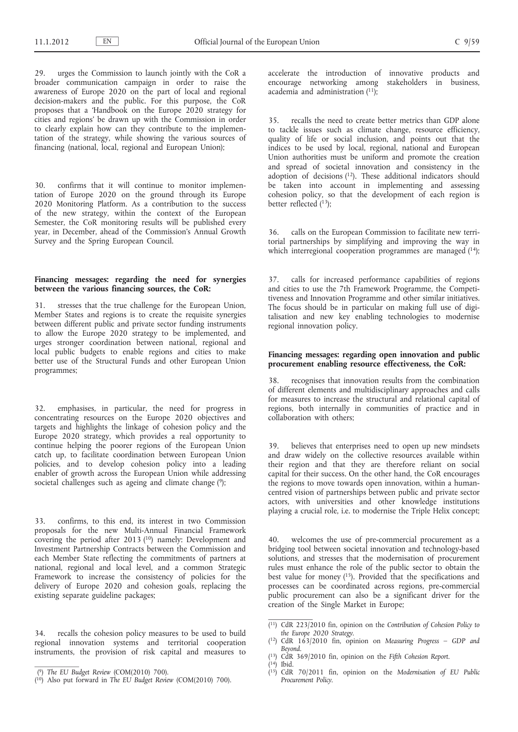29. urges the Commission to launch jointly with the CoR a broader communication campaign in order to raise the awareness of Europe 2020 on the part of local and regional decision-makers and the public. For this purpose, the CoR proposes that a 'Handbook on the Europe 2020 strategy for cities and regions' be drawn up with the Commission in order to clearly explain how can they contribute to the implementation of the strategy, while showing the various sources of financing (national, local, regional and European Union);

30. confirms that it will continue to monitor implementation of Europe 2020 on the ground through its Europe 2020 Monitoring Platform. As a contribution to the success of the new strategy, within the context of the European Semester, the CoR monitoring results will be published every year, in December, ahead of the Commission's Annual Growth Survey and the Spring European Council.

## **Financing messages: regarding the need for synergies between the various financing sources, the CoR:**

31. stresses that the true challenge for the European Union, Member States and regions is to create the requisite synergies between different public and private sector funding instruments to allow the Europe 2020 strategy to be implemented, and urges stronger coordination between national, regional and local public budgets to enable regions and cities to make better use of the Structural Funds and other European Union programmes;

32. emphasises, in particular, the need for progress in concentrating resources on the Europe 2020 objectives and targets and highlights the linkage of cohesion policy and the Europe 2020 strategy, which provides a real opportunity to continue helping the poorer regions of the European Union catch up, to facilitate coordination between European Union policies, and to develop cohesion policy into a leading enabler of growth across the European Union while addressing societal challenges such as ageing and climate change (9);

33. confirms, to this end, its interest in two Commission proposals for the new Multi-Annual Financial Framework covering the period after 2013 (<sup>10</sup>) namely: Development and Investment Partnership Contracts between the Commission and each Member State reflecting the commitments of partners at national, regional and local level, and a common Strategic Framework to increase the consistency of policies for the delivery of Europe 2020 and cohesion goals, replacing the existing separate guideline packages;

34. recalls the cohesion policy measures to be used to build regional innovation systems and territorial cooperation instruments, the provision of risk capital and measures to accelerate the introduction of innovative products and encourage networking among stakeholders in business, academia and administration  $(11)$ ;

35. recalls the need to create better metrics than GDP alone to tackle issues such as climate change, resource efficiency, quality of life or social inclusion, and points out that the indices to be used by local, regional, national and European Union authorities must be uniform and promote the creation and spread of societal innovation and consistency in the adoption of decisions (12). These additional indicators should be taken into account in implementing and assessing cohesion policy, so that the development of each region is better reflected  $(13)$ ;

36. calls on the European Commission to facilitate new territorial partnerships by simplifying and improving the way in which interregional cooperation programmes are managed (14);

37. calls for increased performance capabilities of regions and cities to use the 7th Framework Programme, the Competitiveness and Innovation Programme and other similar initiatives. The focus should be in particular on making full use of digitalisation and new key enabling technologies to modernise regional innovation policy.

#### **Financing messages: regarding open innovation and public procurement enabling resource effectiveness, the CoR:**

recognises that innovation results from the combination of different elements and multidisciplinary approaches and calls for measures to increase the structural and relational capital of regions, both internally in communities of practice and in collaboration with others;

39. believes that enterprises need to open up new mindsets and draw widely on the collective resources available within their region and that they are therefore reliant on social capital for their success. On the other hand, the CoR encourages the regions to move towards open innovation, within a humancentred vision of partnerships between public and private sector actors, with universities and other knowledge institutions playing a crucial role, i.e. to modernise the Triple Helix concept;

40. welcomes the use of pre-commercial procurement as a bridging tool between societal innovation and technology-based solutions, and stresses that the modernisation of procurement rules must enhance the role of the public sector to obtain the best value for money  $(15)$ . Provided that the specifications and processes can be coordinated across regions, pre-commercial public procurement can also be a significant driver for the creation of the Single Market in Europe;

- ( 13) CdR 369/2010 fin, opinion on the *Fifth Cohesion Report*.
- ( 14) Ibid.

<sup>(</sup> 9) *The EU Budget Review* (COM(2010) 700).

<sup>(</sup> 10) Also put forward in *The EU Budget Review* (COM(2010) 700).

<sup>(</sup> 11) CdR 223/2010 fin, opinion on the *Contribution of Cohesion Policy to the Europe 2020 Strategy*.

<sup>(</sup> 12) CdR 163/2010 fin, opinion on *Measuring Progress – GDP and Beyond*.

<sup>(</sup> 15) CdR 70/2011 fin, opinion on the *Modernisation of EU Public Procurement Policy*.